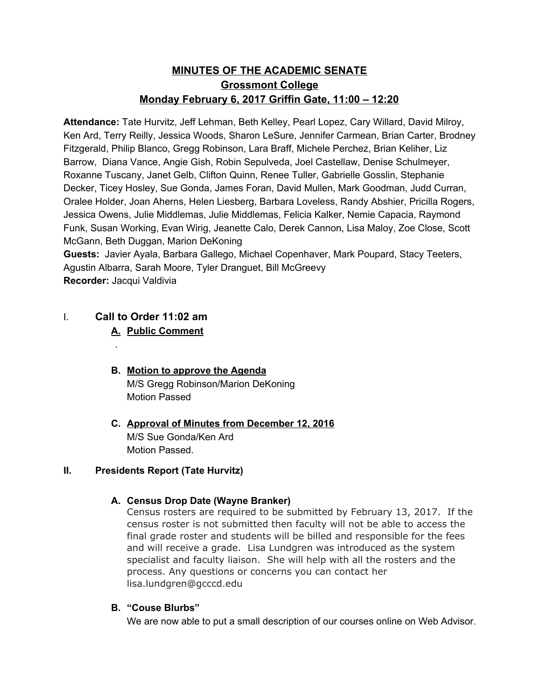# **MINUTES OF THE ACADEMIC SENATE Grossmont College Monday February 6, 2017 Griffin Gate, 11:00 – 12:20**

**Attendance:** Tate Hurvitz, Jeff Lehman, Beth Kelley, Pearl Lopez, Cary Willard, David Milroy, Ken Ard, Terry Reilly, Jessica Woods, Sharon LeSure, Jennifer Carmean, Brian Carter, Brodney Fitzgerald, Philip Blanco, Gregg Robinson, Lara Braff, Michele Perchez, Brian Keliher, Liz Barrow, Diana Vance, Angie Gish, Robin Sepulveda, Joel Castellaw, Denise Schulmeyer, Roxanne Tuscany, Janet Gelb, Clifton Quinn, Renee Tuller, Gabrielle Gosslin, Stephanie Decker, Ticey Hosley, Sue Gonda, James Foran, David Mullen, Mark Goodman, Judd Curran, Oralee Holder, Joan Aherns, Helen Liesberg, Barbara Loveless, Randy Abshier, Pricilla Rogers, Jessica Owens, Julie Middlemas, Julie Middlemas, Felicia Kalker, Nemie Capacia, Raymond Funk, Susan Working, Evan Wirig, Jeanette Calo, Derek Cannon, Lisa Maloy, Zoe Close, Scott McGann, Beth Duggan, Marion DeKoning

**Guests:**  Javier Ayala, Barbara Gallego, Michael Copenhaver, Mark Poupard, Stacy Teeters, Agustin Albarra, Sarah Moore, Tyler Dranguet, Bill McGreevy **Recorder:** Jacqui Valdivia

# I. **Call to Order 11:02 am**

.

## **A. Public Comment**

- **B. Motion to approve the Agenda** M/S Gregg Robinson/Marion DeKoning Motion Passed
- **C. Approval of Minutes from December 12, 2016** M/S Sue Gonda/Ken Ard Motion Passed.

### **II. Presidents Report (Tate Hurvitz)**

### **A. Census Drop Date (W ayne Branker)**

Census rosters are required to be submitted by February 13, 2017. If the census roster is not submitted then faculty will not be able to access the final grade roster and students will be billed and responsible for the fees and will receive a grade. Lisa Lundgren was introduced as the system specialist and faculty liaison. She will help with all the rosters and the process. Any questions or concerns you can contact her lisa.lundgren@gcccd.edu

### **B. "Couse Blurbs"**

We are now able to put a small description of our courses online on Web Advisor.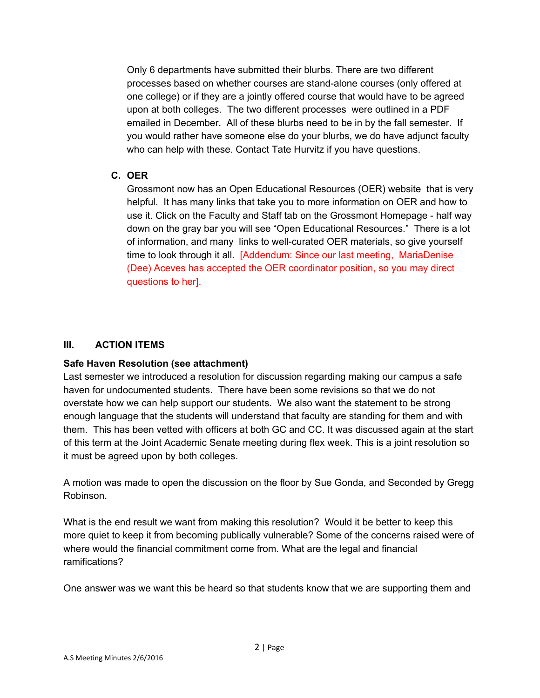Only 6 departments have submitted their blurbs. There are two different processes based on whether courses are stand-alone courses (only offered at one college) or if they are a jointly offered course that would have to be agreed upon at both colleges. The two different processes were outlined in a PDF emailed in December. All of these blurbs need to be in by the fall semester. If you would rather have someone else do your blurbs, we do have adjunct faculty who can help with these. Contact Tate Hurvitz if you have questions.

### **C. OER**

Grossmont now has an Open Educational Resources (OER) website that is very helpful. It has many links that take you to more information on OER and how to use it. Click on the Faculty and Staff tab on the Grossmont Homepage - half way down on the gray bar you will see "Open Educational Resources." There is a lot of information, and many links to well-curated OER materials, so give yourself time to look through it all. [Addendum: Since our last meeting, MariaDenise (Dee) Aceves has accepted the OER coordinator position, so you may direct questions to her].

### **III. ACTION ITEMS**

#### **Safe Haven Resolution (see attachment)**

Last semester we introduced a resolution for discussion regarding making our campus a safe haven for undocumented students. There have been some revisions so that we do not overstate how we can help support our students. We also want the statement to be strong enough language that the students will understand that faculty are standing for them and with them. This has been vetted with officers at both GC and CC. It was discussed again at the start of this term at the Joint Academic Senate meeting during flex week. This is a joint resolution so it must be agreed upon by both colleges.

A motion was made to open the discussion on the floor by Sue Gonda, and Seconded by Gregg Robinson.

What is the end result we want from making this resolution? Would it be better to keep this more quiet to keep it from becoming publically vulnerable? Some of the concerns raised were of where would the financial commitment come from. What are the legal and financial ramifications?

One answer was we want this be heard so that students know that we are supporting them and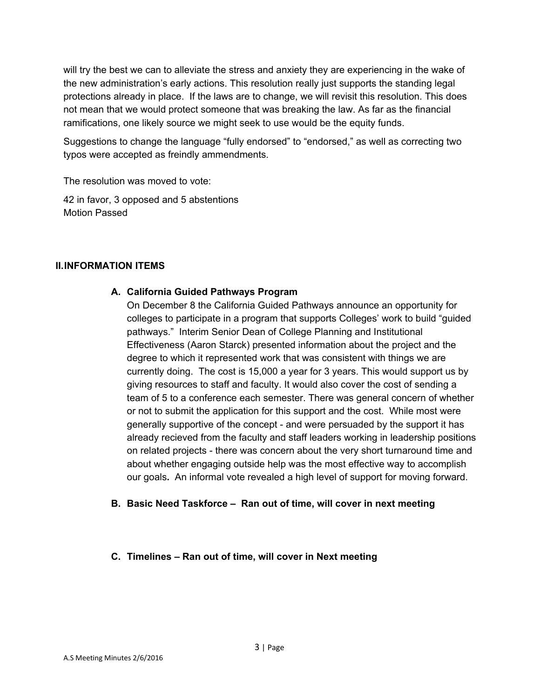will try the best we can to alleviate the stress and anxiety they are experiencing in the wake of the new administration's early actions. This resolution really just supports the standing legal protections already in place. If the laws are to change, we will revisit this resolution. This does not mean that we would protect someone that was breaking the law. As far as the financial ramifications, one likely source we might seek to use would be the equity funds.

Suggestions to change the language "fully endorsed" to "endorsed," as well as correcting two typos were accepted as freindly ammendments.

The resolution was moved to vote:

42 in favor, 3 opposed and 5 abstentions Motion Passed

#### **II.INFORMATION ITEMS**

#### **A. California Guided Pathways Program**

On December 8 the California Guided Pathways announce an opportunity for colleges to participate in a program that supports Colleges' work to build "guided pathways." Interim Senior Dean of College Planning and Institutional Effectiveness (Aaron Starck) presented information about the project and the degree to which it represented work that was consistent with things we are currently doing. The cost is 15,000 a year for 3 years. This would support us by giving resources to staff and faculty. It would also cover the cost of sending a team of 5 to a conference each semester. There was general concern of whether or not to submit the application for this support and the cost. While most were generally supportive of the concept - and were persuaded by the support it has already recieved from the faculty and staff leaders working in leadership positions on related projects - there was concern about the very short turnaround time and about whether engaging outside help was the most effective way to accomplish our goals**.** An informal vote revealed a high level of support for moving forward.

#### **B. Basic Need Taskforce – Ran out of time, will cover in next meeting**

#### **C. Timelines – Ran out of time, will cover in Next meeting**